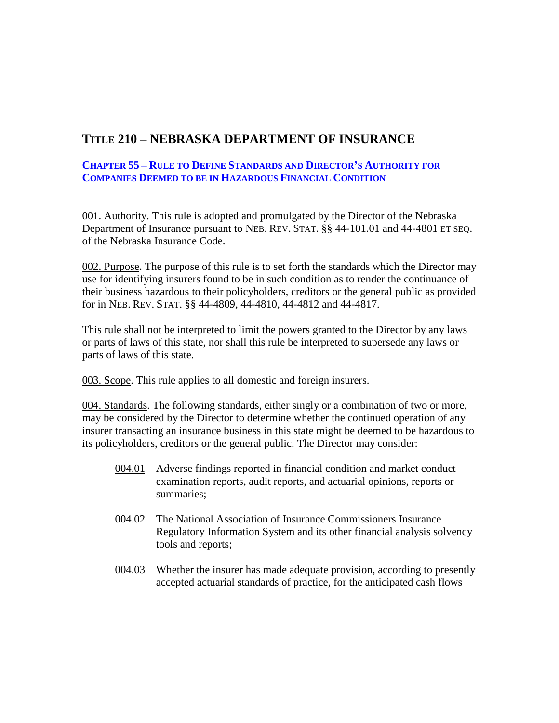## **TITLE 210 – NEBRASKA DEPARTMENT OF INSURANCE**

## **CHAPTER 55 – RULE TO DEFINE STANDARDS AND DIRECTOR'S AUTHORITY FOR COMPANIES DEEMED TO BE IN HAZARDOUS FINANCIAL CONDITION**

001. Authority. This rule is adopted and promulgated by the Director of the Nebraska Department of Insurance pursuant to NEB. REV. STAT. §§ 44-101.01 and 44-4801 ET SEQ. of the Nebraska Insurance Code.

002. Purpose. The purpose of this rule is to set forth the standards which the Director may use for identifying insurers found to be in such condition as to render the continuance of their business hazardous to their policyholders, creditors or the general public as provided for in NEB. REV. STAT. §§ 44-4809, 44-4810, 44-4812 and 44-4817.

This rule shall not be interpreted to limit the powers granted to the Director by any laws or parts of laws of this state, nor shall this rule be interpreted to supersede any laws or parts of laws of this state.

003. Scope. This rule applies to all domestic and foreign insurers.

004. Standards. The following standards, either singly or a combination of two or more, may be considered by the Director to determine whether the continued operation of any insurer transacting an insurance business in this state might be deemed to be hazardous to its policyholders, creditors or the general public. The Director may consider:

- 004.01 Adverse findings reported in financial condition and market conduct examination reports, audit reports, and actuarial opinions, reports or summaries;
- 004.02 The National Association of Insurance Commissioners Insurance Regulatory Information System and its other financial analysis solvency tools and reports;
- 004.03 Whether the insurer has made adequate provision, according to presently accepted actuarial standards of practice, for the anticipated cash flows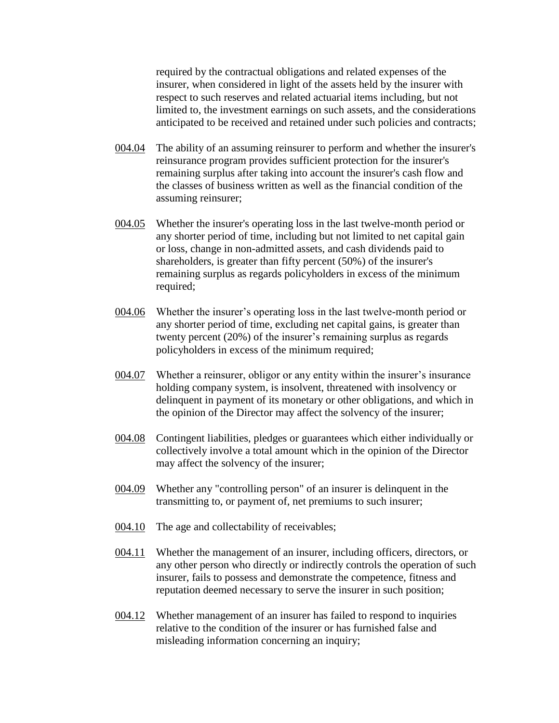required by the contractual obligations and related expenses of the insurer, when considered in light of the assets held by the insurer with respect to such reserves and related actuarial items including, but not limited to, the investment earnings on such assets, and the considerations anticipated to be received and retained under such policies and contracts;

- 004.04 The ability of an assuming reinsurer to perform and whether the insurer's reinsurance program provides sufficient protection for the insurer's remaining surplus after taking into account the insurer's cash flow and the classes of business written as well as the financial condition of the assuming reinsurer;
- 004.05 Whether the insurer's operating loss in the last twelve-month period or any shorter period of time, including but not limited to net capital gain or loss, change in non-admitted assets, and cash dividends paid to shareholders, is greater than fifty percent (50%) of the insurer's remaining surplus as regards policyholders in excess of the minimum required;
- 004.06 Whether the insurer's operating loss in the last twelve-month period or any shorter period of time, excluding net capital gains, is greater than twenty percent (20%) of the insurer's remaining surplus as regards policyholders in excess of the minimum required;
- 004.07 Whether a reinsurer, obligor or any entity within the insurer's insurance holding company system, is insolvent, threatened with insolvency or delinquent in payment of its monetary or other obligations, and which in the opinion of the Director may affect the solvency of the insurer;
- 004.08 Contingent liabilities, pledges or guarantees which either individually or collectively involve a total amount which in the opinion of the Director may affect the solvency of the insurer;
- 004.09 Whether any "controlling person" of an insurer is delinquent in the transmitting to, or payment of, net premiums to such insurer;
- 004.10 The age and collectability of receivables;
- 004.11 Whether the management of an insurer, including officers, directors, or any other person who directly or indirectly controls the operation of such insurer, fails to possess and demonstrate the competence, fitness and reputation deemed necessary to serve the insurer in such position;
- 004.12 Whether management of an insurer has failed to respond to inquiries relative to the condition of the insurer or has furnished false and misleading information concerning an inquiry;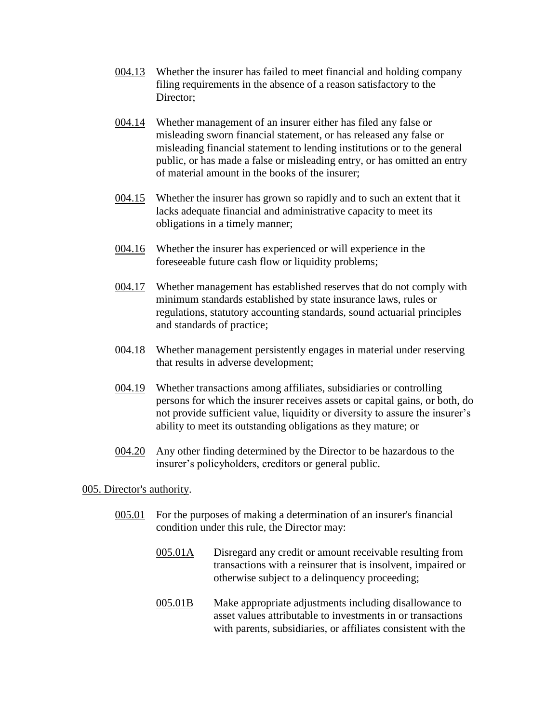- 004.13 Whether the insurer has failed to meet financial and holding company filing requirements in the absence of a reason satisfactory to the Director:
- 004.14 Whether management of an insurer either has filed any false or misleading sworn financial statement, or has released any false or misleading financial statement to lending institutions or to the general public, or has made a false or misleading entry, or has omitted an entry of material amount in the books of the insurer;
- 004.15 Whether the insurer has grown so rapidly and to such an extent that it lacks adequate financial and administrative capacity to meet its obligations in a timely manner;
- 004.16 Whether the insurer has experienced or will experience in the foreseeable future cash flow or liquidity problems;
- 004.17 Whether management has established reserves that do not comply with minimum standards established by state insurance laws, rules or regulations, statutory accounting standards, sound actuarial principles and standards of practice;
- 004.18 Whether management persistently engages in material under reserving that results in adverse development;
- 004.19 Whether transactions among affiliates, subsidiaries or controlling persons for which the insurer receives assets or capital gains, or both, do not provide sufficient value, liquidity or diversity to assure the insurer's ability to meet its outstanding obligations as they mature; or
- 004.20 Any other finding determined by the Director to be hazardous to the insurer's policyholders, creditors or general public.

## 005. Director's authority.

- 005.01 For the purposes of making a determination of an insurer's financial condition under this rule, the Director may:
	- 005.01A Disregard any credit or amount receivable resulting from transactions with a reinsurer that is insolvent, impaired or otherwise subject to a delinquency proceeding;
	- 005.01B Make appropriate adjustments including disallowance to asset values attributable to investments in or transactions with parents, subsidiaries, or affiliates consistent with the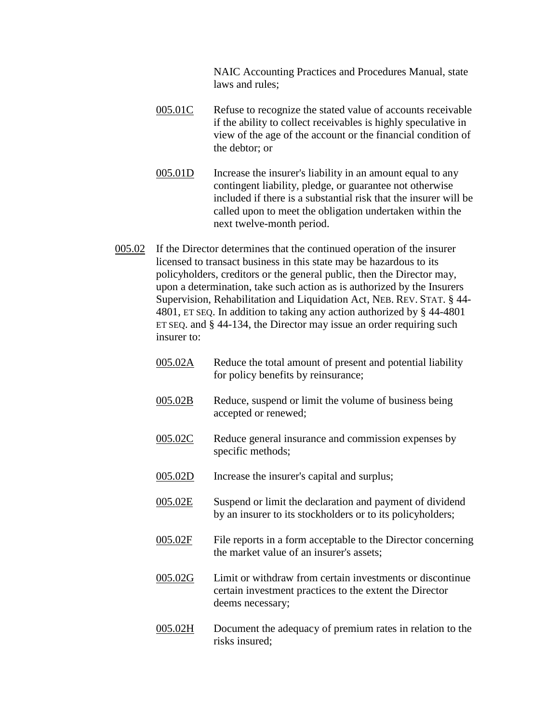NAIC Accounting Practices and Procedures Manual, state laws and rules;

- 005.01C Refuse to recognize the stated value of accounts receivable if the ability to collect receivables is highly speculative in view of the age of the account or the financial condition of the debtor; or
- 005.01D Increase the insurer's liability in an amount equal to any contingent liability, pledge, or guarantee not otherwise included if there is a substantial risk that the insurer will be called upon to meet the obligation undertaken within the next twelve-month period.
- 005.02 If the Director determines that the continued operation of the insurer licensed to transact business in this state may be hazardous to its policyholders, creditors or the general public, then the Director may, upon a determination, take such action as is authorized by the Insurers Supervision, Rehabilitation and Liquidation Act, NEB. REV. STAT. § 44- 4801, ET SEQ. In addition to taking any action authorized by § 44-4801 ET SEQ. and § 44-134, the Director may issue an order requiring such insurer to:
	- 005.02A Reduce the total amount of present and potential liability for policy benefits by reinsurance;
	- 005.02B Reduce, suspend or limit the volume of business being accepted or renewed;
	- 005.02C Reduce general insurance and commission expenses by specific methods;
	- 005.02D Increase the insurer's capital and surplus;
	- 005.02E Suspend or limit the declaration and payment of dividend by an insurer to its stockholders or to its policyholders;
	- 005.02F File reports in a form acceptable to the Director concerning the market value of an insurer's assets;
	- 005.02G Limit or withdraw from certain investments or discontinue certain investment practices to the extent the Director deems necessary;
	- 005.02H Document the adequacy of premium rates in relation to the risks insured;